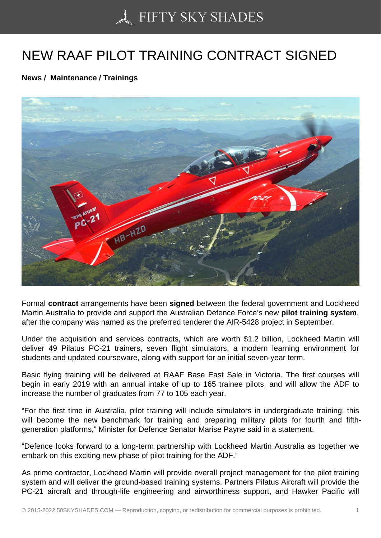## [NEW RAAF PILOT TR](https://50skyshades.com)AINING CONTRACT SIGNED

News / Maintenance / Trainings

Formal contract arrangements have been signed between the federal government and Lockheed Martin Australia to provide and support the Australian Defence Force's new pilot training system, after the company was named as the preferred tenderer the AIR-5428 project in September.

Under the acquisition and services contracts, which are worth \$1.2 billion, Lockheed Martin will deliver 49 Pilatus PC-21 trainers, seven flight simulators, a modern learning environment for students and updated courseware, along with support for an initial seven-year term.

Basic flying training will be delivered at RAAF Base East Sale in Victoria. The first courses will begin in early 2019 with an annual intake of up to 165 trainee pilots, and will allow the ADF to increase the number of graduates from 77 to 105 each year.

"For the first time in Australia, pilot training will include simulators in undergraduate training; this will become the new benchmark for training and preparing military pilots for fourth and fifthgeneration platforms," Minister for Defence Senator Marise Payne said in a statement.

"Defence looks forward to a long-term partnership with Lockheed Martin Australia as together we embark on this exciting new phase of pilot training for the ADF."

As prime contractor, Lockheed Martin will provide overall project management for the pilot training system and will deliver the ground-based training systems. Partners Pilatus Aircraft will provide the PC-21 aircraft and through-life engineering and airworthiness support, and Hawker Pacific will